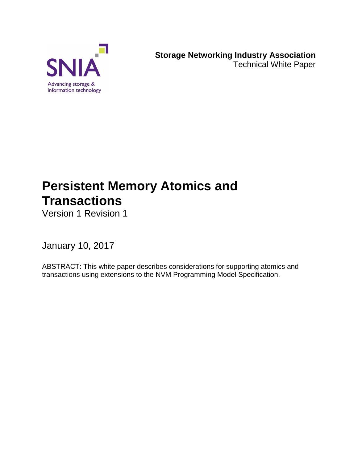

**Storage Networking Industry Association** Technical White Paper

# **Persistent Memory Atomics and Transactions**

Version 1 Revision 1

January 10, 2017

ABSTRACT: This white paper describes considerations for supporting atomics and transactions using extensions to the NVM Programming Model Specification.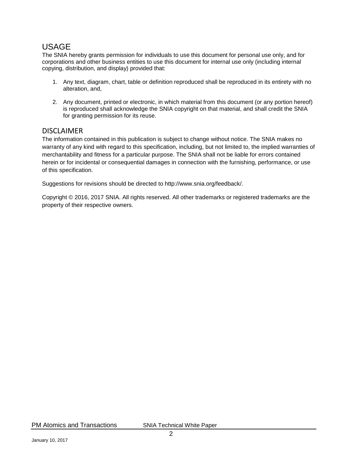#### USAGE

The SNIA hereby grants permission for individuals to use this document for personal use only, and for corporations and other business entities to use this document for internal use only (including internal copying, distribution, and display) provided that:

- 1. Any text, diagram, chart, table or definition reproduced shall be reproduced in its entirety with no alteration, and,
- 2. Any document, printed or electronic, in which material from this document (or any portion hereof) is reproduced shall acknowledge the SNIA copyright on that material, and shall credit the SNIA for granting permission for its reuse.

#### DISCLAIMER

The information contained in this publication is subject to change without notice. The SNIA makes no warranty of any kind with regard to this specification, including, but not limited to, the implied warranties of merchantability and fitness for a particular purpose. The SNIA shall not be liable for errors contained herein or for incidental or consequential damages in connection with the furnishing, performance, or use of this specification.

Suggestions for revisions should be directed to http://www.snia.org/feedback/.

Copyright © 2016, 2017 SNIA. All rights reserved. All other trademarks or registered trademarks are the property of their respective owners.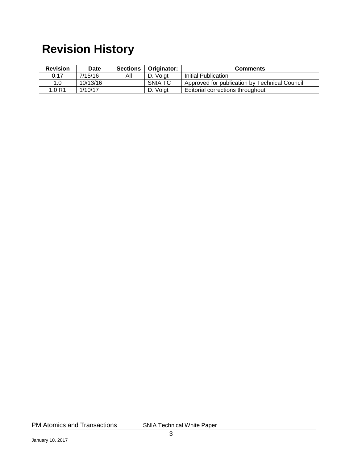# **Revision History**

| <b>Revision</b> | <b>Date</b> | <b>Sections</b> | Originator: | <b>Comments</b>                               |
|-----------------|-------------|-----------------|-------------|-----------------------------------------------|
| 0.17            | 7/15/16     | ΑIΙ             | D. Voiat    | Initial Publication                           |
| 1.0             | 10/13/16    |                 | SNIA TC     | Approved for publication by Technical Council |
| 1.0R1           | 1/10/17     |                 | D. Voigt    | Editorial corrections throughout              |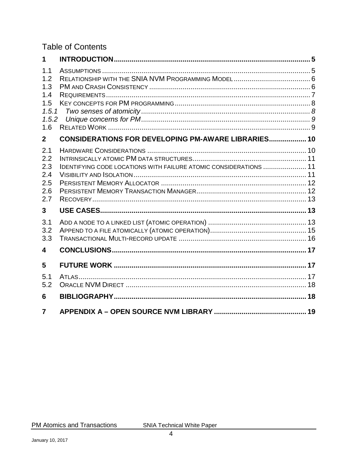#### **Table of Contents**

| 1                                                        |                                                                          |  |
|----------------------------------------------------------|--------------------------------------------------------------------------|--|
| 1.1<br>1.2<br>1.3<br>1.4<br>1.5<br>1.5.1<br>1.5.2<br>1.6 |                                                                          |  |
| $\mathbf{2}$                                             | <b>CONSIDERATIONS FOR DEVELOPING PM-AWARE LIBRARIES 10</b>               |  |
| 2.1<br>2.2<br>2.3<br>2.4<br>2.5<br>2.6<br>2.7            | <b>IDENTIFYING CODE LOCATIONS WITH FAILURE ATOMIC CONSIDERATIONS  11</b> |  |
| $\mathbf{3}$                                             |                                                                          |  |
| 3.1<br>3.2<br>3.3                                        |                                                                          |  |
| 4                                                        |                                                                          |  |
| 5                                                        |                                                                          |  |
| 5.1<br>5.2                                               |                                                                          |  |
| 6                                                        |                                                                          |  |
| $\overline{7}$                                           |                                                                          |  |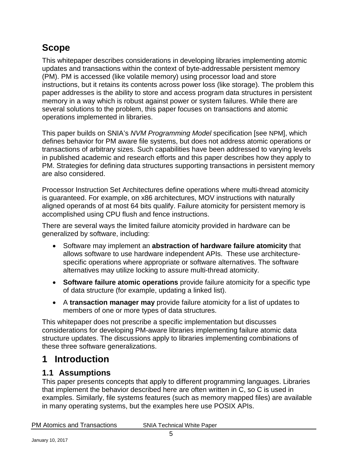# **Scope**

This whitepaper describes considerations in developing libraries implementing atomic updates and transactions within the context of byte-addressable persistent memory (PM). PM is accessed (like volatile memory) using processor load and store instructions, but it retains its contents across power loss (like storage). The problem this paper addresses is the ability to store and access program data structures in persistent memory in a way which is robust against power or system failures. While there are several solutions to the problem, this paper focuses on transactions and atomic operations implemented in libraries.

This paper builds on SNIA's *NVM Programming Model* specification [see [NPM\]](#page-18-1), which defines behavior for PM aware file systems, but does not address atomic operations or transactions of arbitrary sizes. Such capabilities have been addressed to varying levels in published academic and research efforts and this paper describes how they apply to PM. Strategies for defining data structures supporting transactions in persistent memory are also considered.

Processor Instruction Set Architectures define operations where multi-thread atomicity is guaranteed. For example, on x86 architectures, MOV instructions with naturally aligned operands of at most 64 bits qualify. Failure atomicity for persistent memory is accomplished using CPU flush and fence instructions.

There are several ways the limited failure atomicity provided in hardware can be generalized by software, including:

- Software may implement an **abstraction of hardware failure atomicity** that allows software to use hardware independent APIs. These use architecturespecific operations where appropriate or software alternatives. The software alternatives may utilize locking to assure multi-thread atomicity.
- **Software failure atomic operations** provide failure atomicity for a specific type of data structure (for example, updating a linked list).
- A **transaction manager may** provide failure atomicity for a list of updates to members of one or more types of data structures.

This whitepaper does not prescribe a specific implementation but discusses considerations for developing PM-aware libraries implementing failure atomic data structure updates. The discussions apply to libraries implementing combinations of these three software generalizations.

# <span id="page-4-0"></span>**1 Introduction**

#### <span id="page-4-1"></span>**1.1 Assumptions**

This paper presents concepts that apply to different programming languages. Libraries that implement the behavior described here are often written in C, so C is used in examples. Similarly, file systems features (such as memory mapped files) are available in many operating systems, but the examples here use POSIX APIs.

| <b>PM Atomics and Transactions</b> | <b>SNIA Technical White Paper</b> |
|------------------------------------|-----------------------------------|
|                                    |                                   |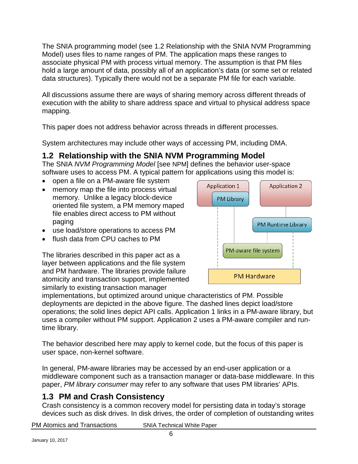The SNIA programming model (see [1.2](#page-5-0) [Relationship with the SNIA NVM Programming](#page-5-0)  [Model\)](#page-5-0) uses files to name ranges of PM. The application maps these ranges to associate physical PM with process virtual memory. The assumption is that PM files hold a large amount of data, possibly all of an application's data (or some set or related data structures). Typically there would not be a separate PM file for each variable.

All discussions assume there are ways of sharing memory across different threads of execution with the ability to share address space and virtual to physical address space mapping.

This paper does not address behavior across threads in different processes.

System architectures may include other ways of accessing PM, including DMA.

### <span id="page-5-0"></span>**1.2 Relationship with the SNIA NVM Programming Model**

The SNIA *NVM Programming Model* [see [NPM\]](#page-18-1) defines the behavior user-space software uses to access PM. A typical pattern for applications using this model is:

- open a file on a PM-aware file system
- memory map the file into process virtual memory. Unlike a legacy block-device oriented file system, a PM memory maped file enables direct access to PM without paging
- use load/store operations to access PM
- flush data from CPU caches to PM

The libraries described in this paper act as a layer between applications and the file system and PM hardware. The libraries provide failure atomicity and transaction support, implemented similarly to existing transaction manager



implementations, but optimized around unique characteristics of PM. Possible deployments are depicted in the above figure. The dashed lines depict load/store operations; the solid lines depict API calls. Application 1 links in a PM-aware library, but uses a compiler without PM support. Application 2 uses a PM-aware compiler and runtime library.

The behavior described here may apply to kernel code, but the focus of this paper is user space, non-kernel software.

In general, PM-aware libraries may be accessed by an end-user application or a middleware component such as a transaction manager or data-base middleware. In this paper, *PM library consumer* may refer to any software that uses PM libraries' APIs.

### <span id="page-5-1"></span>**1.3 PM and Crash Consistency**

Crash consistency is a common recovery model for persisting data in today's storage devices such as disk drives. In disk drives, the order of completion of outstanding writes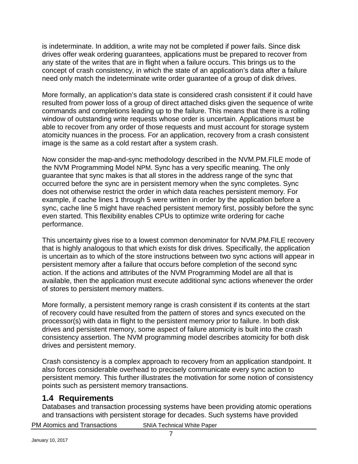is indeterminate. In addition, a write may not be completed if power fails. Since disk drives offer weak ordering guarantees, applications must be prepared to recover from any state of the writes that are in flight when a failure occurs. This brings us to the concept of crash consistency, in which the state of an application's data after a failure need only match the indeterminate write order guarantee of a group of disk drives.

More formally, an application's data state is considered crash consistent if it could have resulted from power loss of a group of direct attached disks given the sequence of write commands and completions leading up to the failure. This means that there is a rolling window of outstanding write requests whose order is uncertain. Applications must be able to recover from any order of those requests and must account for storage system atomicity nuances in the process. For an application, recovery from a crash consistent image is the same as a cold restart after a system crash.

Now consider the map-and-sync methodology described in the NVM.PM.FILE mode of the NVM Programming Model [NPM.](#page-18-1) Sync has a very specific meaning. The only guarantee that sync makes is that all stores in the address range of the sync that occurred before the sync are in persistent memory when the sync completes. Sync does not otherwise restrict the order in which data reaches persistent memory. For example, if cache lines 1 through 5 were written in order by the application before a sync, cache line 5 might have reached persistent memory first, possibly before the sync even started. This flexibility enables CPUs to optimize write ordering for cache performance.

This uncertainty gives rise to a lowest common denominator for NVM.PM.FILE recovery that is highly analogous to that which exists for disk drives. Specifically, the application is uncertain as to which of the store instructions between two sync actions will appear in persistent memory after a failure that occurs before completion of the second sync action. If the actions and attributes of the NVM Programming Model are all that is available, then the application must execute additional sync actions whenever the order of stores to persistent memory matters.

More formally, a persistent memory range is crash consistent if its contents at the start of recovery could have resulted from the pattern of stores and syncs executed on the processor(s) with data in flight to the persistent memory prior to failure. In both disk drives and persistent memory, some aspect of failure atomicity is built into the crash consistency assertion. The NVM programming model describes atomicity for both disk drives and persistent memory.

Crash consistency is a complex approach to recovery from an application standpoint. It also forces considerable overhead to precisely communicate every sync action to persistent memory. This further illustrates the motivation for some notion of consistency points such as persistent memory transactions.

#### <span id="page-6-0"></span>**1.4 Requirements**

Databases and transaction processing systems have been providing atomic operations and transactions with persistent storage for decades. Such systems have provided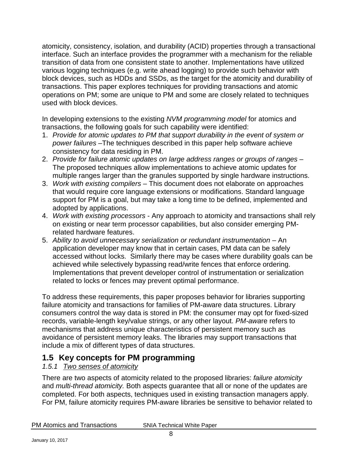atomicity, consistency, isolation, and durability (ACID) properties through a transactional interface. Such an interface provides the programmer with a mechanism for the reliable transition of data from one consistent state to another. Implementations have utilized various logging techniques (e.g. write ahead logging) to provide such behavior with block devices, such as HDDs and SSDs, as the target for the atomicity and durability of transactions. This paper explores techniques for providing transactions and atomic operations on PM; some are unique to PM and some are closely related to techniques used with block devices.

In developing extensions to the existing *NVM programming model* for atomics and transactions, the following goals for such capability were identified:

- 1. *Provide for atomic updates to PM that support durability in the event of system or power failures* –The techniques described in this paper help software achieve consistency for data residing in PM.
- 2. *Provide for failure atomic updates on large address ranges or groups of ranges* The proposed techniques allow implementations to achieve atomic updates for multiple ranges larger than the granules supported by single hardware instructions.
- 3. *Work with existing compilers* This document does not elaborate on approaches that would require core language extensions or modifications. Standard language support for PM is a goal, but may take a long time to be defined, implemented and adopted by applications.
- 4. *Work with existing processors* Any approach to atomicity and transactions shall rely on existing or near term processor capabilities, but also consider emerging PMrelated hardware features.
- 5. *Ability to avoid unnecessary serialization or redundant instrumentation* An application developer may know that in certain cases, PM data can be safely accessed without locks. Similarly there may be cases where durability goals can be achieved while selectively bypassing read/write fences that enforce ordering. Implementations that prevent developer control of instrumentation or serialization related to locks or fences may prevent optimal performance.

To address these requirements, this paper proposes behavior for libraries supporting failure atomicity and transactions for families of PM-aware data structures. Library consumers control the way data is stored in PM: the consumer may opt for fixed-sized records, variable-length key/value strings, or any other layout. *PM-awa*re refers to mechanisms that address unique characteristics of persistent memory such as avoidance of persistent memory leaks. The libraries may support transactions that include a mix of different types of data structures.

### <span id="page-7-0"></span>**1.5 Key concepts for PM programming**

#### <span id="page-7-1"></span>*1.5.1 Two senses of atomicity*

There are two aspects of atomicity related to the proposed libraries: *failure atomicity* and *multi-thread atomicity.* Both aspects guarantee that all or none of the updates are completed. For both aspects, techniques used in existing transaction managers apply. For PM, failure atomicity requires PM-aware libraries be sensitive to behavior related to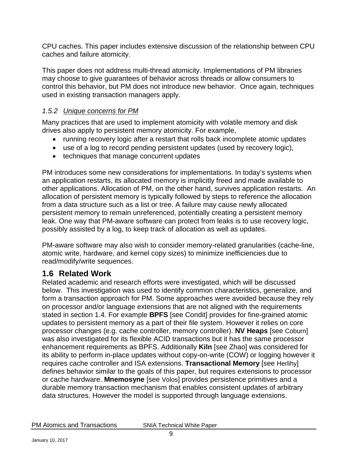CPU caches. This paper includes extensive discussion of the relationship between CPU caches and failure atomicity.

This paper does not address multi-thread atomicity. Implementations of PM libraries may choose to give guarantees of behavior across threads or allow consumers to control this behavior, but PM does not introduce new behavior. Once again, techniques used in existing transaction managers apply.

#### <span id="page-8-0"></span>*1.5.2 Unique concerns for PM*

Many practices that are used to implement atomicity with volatile memory and disk drives also apply to persistent memory atomicity. For example,

- running recovery logic after a restart that rolls back incomplete atomic updates
- use of a log to record pending persistent updates (used by recovery logic),
- techniques that manage concurrent updates

PM introduces some new considerations for implementations. In today's systems when an application restarts, its allocated memory is implicitly freed and made available to other applications. Allocation of PM, on the other hand, survives application restarts. An allocation of persistent memory is typically followed by steps to reference the allocation from a data structure such as a list or tree. A failure may cause newly allocated persistent memory to remain unreferenced, potentially creating a persistent memory leak. One way that PM-aware software can protect from leaks is to use recovery logic, possibly assisted by a log, to keep track of allocation as well as updates.

PM-aware software may also wish to consider memory-related granularities (cache-line, atomic write, hardware, and kernel copy sizes) to minimize inefficiencies due to read/modify/write sequences.

#### <span id="page-8-1"></span>**1.6 Related Work**

Related academic and research efforts were investigated, which will be discussed below. This investigation was used to identify common characteristics, generalize, and form a transaction approach for PM. Some approaches were avoided because they rely on processor and/or language extensions that are not aligned with the requirements stated in section [1.4.](#page-6-0) For example **BPFS** [see [Condit\]](#page-17-2) provides for fine-grained atomic updates to persistent memory as a part of their file system. However it relies on core processor changes (e.g. cache controller, memory controller). **NV Heaps** [see [Coburn\]](#page-17-3) was also investigated for its flexible ACID transactions but it has the same processor enhancement requirements as BPFS. Additionally **Kiln** [see [Zhao\]](#page-17-4) was considered for its ability to perform in-place updates without copy-on-write (COW) or logging however it requires cache controller and ISA extensions. **Transactional Memory** [see [Herlihy\]](#page-17-5) defines behavior similar to the goals of this paper, but requires extensions to processor or cache hardware. **Mnemosyne** [see [Volos\]](#page-17-6) provides persistence primitives and a durable memory transaction mechanism that enables consistent updates of arbitrary data structures. However the model is supported through language extensions.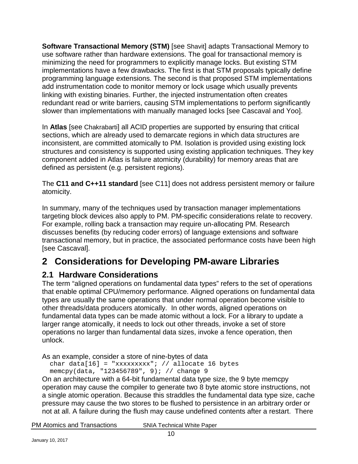**Software Transactional Memory (STM)** [see [Shavit\]](#page-18-2) adapts Transactional Memory to use software rather than hardware extensions. The goal for transactional memory is minimizing the need for programmers to explicitly manage locks. But existing STM implementations have a few drawbacks. The first is that STM proposals typically define programming language extensions. The second is that proposed STM implementations add instrumentation code to monitor memory or lock usage which usually prevents linking with existing binaries. Further, the injected instrumentation often creates redundant read or write barriers, causing STM implementations to perform significantly slower than implementations with manually managed locks [see [Cascaval](#page-17-7) and [Yoo\]](#page-18-3).

In **Atlas** [see [Chakrabarti\]](#page-17-8) all ACID properties are supported by ensuring that critical sections, which are already used to demarcate regions in which data structures are inconsistent, are committed atomically to PM. Isolation is provided using existing lock structures and consistency is supported using existing application techniques. They key component added in Atlas is failure atomicity (durability) for memory areas that are defined as persistent (e.g. persistent regions).

The **C11 and C++11 standard** [see [C11\]](#page-17-9) does not address persistent memory or failure atomicity.

In summary, many of the techniques used by transaction manager implementations targeting block devices also apply to PM. PM-specific considerations relate to recovery. For example, rolling back a transaction may require un-allocating PM. Research discusses benefits (by reducing coder errors) of language extensions and software transactional memory, but in practice, the associated performance costs have been high [see [Cascaval\]](#page-17-7).

# <span id="page-9-0"></span>**2 Considerations for Developing PM-aware Libraries**

### <span id="page-9-1"></span>**2.1 Hardware Considerations**

The term "aligned operations on fundamental data types" refers to the set of operations that enable optimal CPU/memory performance. Aligned operations on fundamental data types are usually the same operations that under normal operation become visible to other threads/data producers atomically. In other words, aligned operations on fundamental data types can be made atomic without a lock. For a library to update a larger range atomically, it needs to lock out other threads, invoke a set of store operations no larger than fundamental data sizes, invoke a fence operation, then unlock.

As an example, consider a store of nine-bytes of data

char data[16] = "xxxxxxxxx"; // allocate 16 bytes memcpy(data, "123456789", 9); // change 9

On an architecture with a 64-bit fundamental data type size, the 9 byte memcpy operation may cause the compiler to generate two 8 byte atomic store instructions, not a single atomic operation. Because this straddles the fundamental data type size, cache pressure may cause the two stores to be flushed to persistence in an arbitrary order or not at all. A failure during the flush may cause undefined contents after a restart. There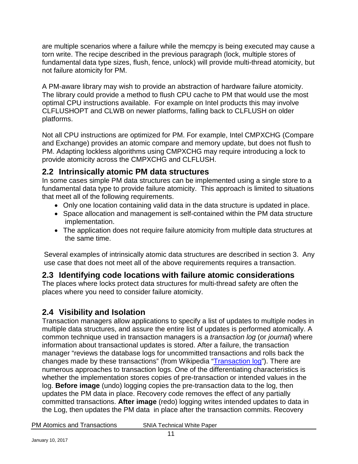are multiple scenarios where a failure while the memcpy is being executed may cause a torn write. The recipe described in the previous paragraph (lock, multiple stores of fundamental data type sizes, flush, fence, unlock) will provide multi-thread atomicity, but not failure atomicity for PM.

A PM-aware library may wish to provide an abstraction of hardware failure atomicity. The library could provide a method to flush CPU cache to PM that would use the most optimal CPU instructions available. For example on Intel products this may involve CLFLUSHOPT and CLWB on newer platforms, falling back to CLFLUSH on older platforms.

Not all CPU instructions are optimized for PM. For example, Intel CMPXCHG (Compare and Exchange) provides an atomic compare and memory update, but does not flush to PM. Adapting lockless algorithms using CMPXCHG may require introducing a lock to provide atomicity across the CMPXCHG and CLFLUSH.

#### <span id="page-10-0"></span>**2.2 Intrinsically atomic PM data structures**

In some cases simple PM data structures can be implemented using a single store to a fundamental data type to provide failure atomicity. This approach is limited to situations that meet all of the following requirements.

- Only one location containing valid data in the data structure is updated in place.
- Space allocation and management is self-contained within the PM data structure implementation.
- The application does not require failure atomicity from multiple data structures at the same time.

Several examples of intrinsically atomic data structures are described in section [3.](#page-12-1) Any use case that does not meet all of the above requirements requires a transaction.

#### <span id="page-10-1"></span>**2.3 Identifying code locations with failure atomic considerations**

The places where locks protect data structures for multi-thread safety are often the places where you need to consider failure atomicity.

### <span id="page-10-2"></span>**2.4 Visibility and Isolation**

Transaction managers allow applications to specify a list of updates to multiple nodes in multiple data structures, and assure the entire list of updates is performed atomically. A common technique used in transaction managers is a *transaction log* (or *journal*) where information about transactional updates is stored. After a failure, the transaction manager "reviews the database logs for uncommitted transactions and rolls back the changes made by these transactions" (from Wikipedia ["Transaction log"](https://en.wikipedia.org/wiki/Transaction_log)). There are numerous approaches to transaction logs. One of the differentiating characteristics is whether the implementation stores copies of pre-transaction or intended values in the log. **Before image** (undo) logging copies the pre-transaction data to the log, then updates the PM data in place. Recovery code removes the effect of any partially committed transactions. **After image** (redo) logging writes intended updates to data in the Log, then updates the PM data in place after the transaction commits. Recovery

| <b>PM Atomics and Transactions</b> |  |
|------------------------------------|--|
|------------------------------------|--|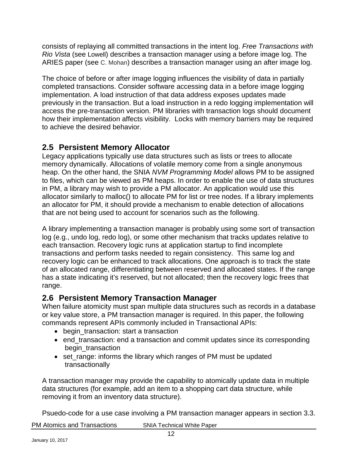consists of replaying all committed transactions in the intent log. *Free Transactions with Rio Vista* (see [Lowell\)](#page-18-4) describes a transaction manager using a before image log. The ARIES paper (see [C. Mohan\)](#page-17-10) describes a transaction manager using an after image log.

The choice of before or after image logging influences the visibility of data in partially completed transactions. Consider software accessing data in a before image logging implementation. A load instruction of that data address exposes updates made previously in the transaction. But a load instruction in a redo logging implementation will access the pre-transaction version. PM libraries with transaction logs should document how their implementation affects visibility. Locks with memory barriers may be required to achieve the desired behavior.

#### <span id="page-11-0"></span>**2.5 Persistent Memory Allocator**

Legacy applications typically use data structures such as lists or trees to allocate memory dynamically. Allocations of volatile memory come from a single anonymous heap. On the other hand, the SNIA *NVM Programming Model* allows PM to be assigned to files, which can be viewed as PM heaps. In order to enable the use of data structures in PM, a library may wish to provide a PM allocator. An application would use this allocator similarly to malloc() to allocate PM for list or tree nodes. If a library implements an allocator for PM, it should provide a mechanism to enable detection of allocations that are not being used to account for scenarios such as the following.

A library implementing a transaction manager is probably using some sort of transaction log (e.g., undo log, redo log), or some other mechanism that tracks updates relative to each transaction. Recovery logic runs at application startup to find incomplete transactions and perform tasks needed to regain consistency. This same log and recovery logic can be enhanced to track allocations. One approach is to track the state of an allocated range, differentiating between reserved and allocated states. If the range has a state indicating it's reserved, but not allocated; then the recovery logic frees that range.

#### <span id="page-11-1"></span>**2.6 Persistent Memory Transaction Manager**

When failure atomicity must span multiple data structures such as records in a database or key value store, a PM transaction manager is required. In this paper, the following commands represent APIs commonly included in Transactional APIs:

- begin\_transaction: start a transaction
- end transaction: end a transaction and commit updates since its corresponding begin\_transaction
- set\_range: informs the library which ranges of PM must be updated transactionally

A transaction manager may provide the capability to atomically update data in multiple data structures (for example, add an item to a shopping cart data structure, while removing it from an inventory data structure).

Psuedo-code for a use case involving a PM transaction manager appears in section [3.3.](#page-15-0)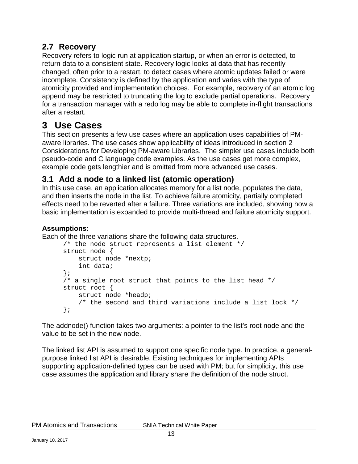#### <span id="page-12-0"></span>**2.7 Recovery**

Recovery refers to logic run at application startup, or when an error is detected, to return data to a consistent state. Recovery logic looks at data that has recently changed, often prior to a restart, to detect cases where atomic updates failed or were incomplete. Consistency is defined by the application and varies with the type of atomicity provided and implementation choices. For example, recovery of an atomic log append may be restricted to truncating the log to exclude partial operations. Recovery for a transaction manager with a redo log may be able to complete in-flight transactions after a restart.

# <span id="page-12-1"></span>**3 Use Cases**

This section presents a few use cases where an application uses capabilities of PMaware libraries. The use cases show applicability of ideas introduced in section [2](#page-9-0) [Considerations for Developing PM-aware Libraries.](#page-9-0) The simpler use cases include both pseudo-code and C language code examples. As the use cases get more complex, example code gets lengthier and is omitted from more advanced use cases.

### <span id="page-12-2"></span>**3.1 Add a node to a linked list (atomic operation)**

In this use case, an application allocates memory for a list node, populates the data, and then inserts the node in the list. To achieve failure atomicity, partially completed effects need to be reverted after a failure. Three variations are included, showing how a basic implementation is expanded to provide multi-thread and failure atomicity support.

#### **Assumptions:**

Each of the three variations share the following data structures.

```
/* the node struct represents a list element */struct node {
    struct node *nextp;
     int data;
};
/* a single root struct that points to the list head */
struct root {
     struct node *headp;
     /* the second and third variations include a list lock */
};
```
The addnode() function takes two arguments: a pointer to the list's root node and the value to be set in the new node.

The linked list API is assumed to support one specific node type. In practice, a generalpurpose linked list API is desirable. Existing techniques for implementing APIs supporting application-defined types can be used with PM; but for simplicity, this use case assumes the application and library share the definition of the node struct.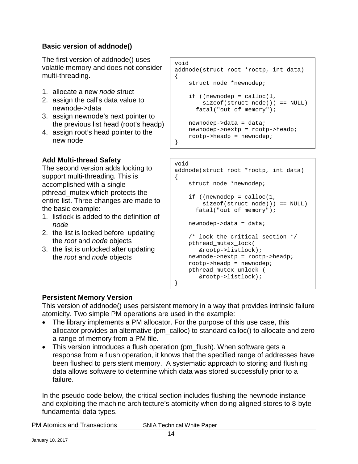#### **Basic version of addnode()**

The first version of addnode() uses volatile memory and does not consider multi-threading.

- 1. allocate a new *node* struct
- 2. assign the call's data value to newnode->data
- 3. assign newnode's next pointer to the previous list head (root's headp)
- 4. assign root's head pointer to the new node

#### **Add Multi-thread Safety**

The second version adds locking to support multi-threading. This is accomplished with a single pthread\_mutex which protects the entire list. Three changes are made to the basic example:

- 1. listlock is added to the definition of *node*
- 2. the list is locked before updating the *root* and *node* objects
- 3. the list is unlocked after updating the *root* and *node* objects

```
void
addnode(struct root *rootp, int data)
{
     struct node *newnodep;
    if ((newnodep = calloc(1, sizeof(struct node))) == NULL)
      fatal("out of memory");
    new nodep - > data = data; newnodep->nextp = rootp->headp;
     rootp->headp = newnodep;
}
```

```
void
```

```
addnode(struct root *rootp, int data)
{
     struct node *newnodep;
    if ((newnodep = cal(1, sizeof(struct node))) == NULL)
       fatal("out of memory");
   new nodep - > data = data; /* lock the critical section */
    pthread_mutex_lock(
        &rootp->listlock);
    newnode->nextp = rootp->headp;
    rootp->headp = newnodep;
    pthread_mutex_unlock (
        &rootp->listlock);
```
#### **Persistent Memory Version**

This version of addnode() uses persistent memory in a way that provides intrinsic failure atomicity. Two simple PM operations are used in the example:

}

- The library implements a PM allocator. For the purpose of this use case, this allocator provides an alternative (pm\_calloc) to standard calloc() to allocate and zero a range of memory from a PM file.
- This version introduces a flush operation (pm\_flush). When software gets a response from a flush operation, it knows that the specified range of addresses have been flushed to persistent memory. A systematic approach to storing and flushing data allows software to determine which data was stored successfully prior to a failure.

In the pseudo code below, the critical section includes flushing the newnode instance and exploiting the machine architecture's atomicity when doing aligned stores to 8-byte fundamental data types.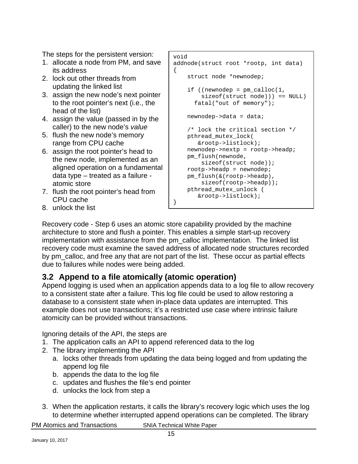The steps for the persistent version:

- 1. allocate a node from PM, and save its address
- 2. lock out other threads from updating the linked list
- 3. assign the new node's next pointer to the root pointer's next (i.e., the head of the list)
- 4. assign the value (passed in by the caller) to the new node's *value*
- 5. flush the new node's memory range from CPU cache
- 6. assign the root pointer's head to the new node, implemented as an aligned operation on a fundamental data type – treated as a failure atomic store
- 7. flush the root pointer's head from CPU cache
- 8. unlock the list

```
void
addnode(struct root *rootp, int data)
{
     struct node *newnodep;
     if ((newnodep = pm_calloc(1, 
         sizeof(struct node))) == NULL)
       fatal("out of memory");
     newnodep->data = data;
     /* lock the critical section */
     pthread_mutex_lock(
        &rootp->listlock);
     newnodep->nextp = rootp->headp;
     pm_flush(newnode, 
         sizeof(struct node));
     rootp->headp = newnodep;
     pm_flush(&(rootp->headp), 
         sizeof(rootp->headp));
     pthread_mutex_unlock (
        &rootp->listlock);
}
```
Recovery code - Step 6 uses an atomic store capability provided by the machine architecture to store and flush a pointer. This enables a simple start-up recovery implementation with assistance from the pm\_calloc implementation. The linked list recovery code must examine the saved address of allocated node structures recorded by pm\_calloc, and free any that are not part of the list. These occur as partial effects due to failures while nodes were being added.

### <span id="page-14-0"></span>**3.2 Append to a file atomically (atomic operation)**

Append logging is used when an application appends data to a log file to allow recovery to a consistent state after a failure. This log file could be used to allow restoring a database to a consistent state when in-place data updates are interrupted. This example does not use transactions; it's a restricted use case where intrinsic failure atomicity can be provided without transactions.

Ignoring details of the API, the steps are

- 1. The application calls an API to append referenced data to the log
- 2. The library implementing the API
	- a. locks other threads from updating the data being logged and from updating the append log file
	- b. appends the data to the log file
	- c. updates and flushes the file's end pointer
	- d. unlocks the lock from step a
- 3. When the application restarts, it calls the library's recovery logic which uses the log to determine whether interrupted append operations can be completed. The library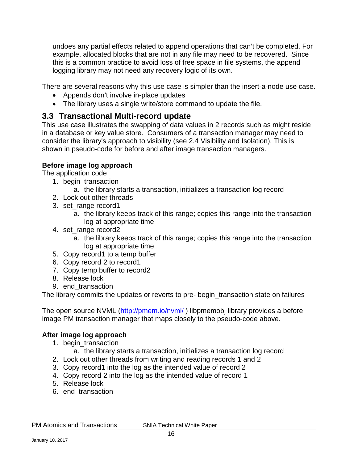undoes any partial effects related to append operations that can't be completed. For example, allocated blocks that are not in any file may need to be recovered. Since this is a common practice to avoid loss of free space in file systems, the append logging library may not need any recovery logic of its own.

There are several reasons why this use case is simpler than the insert-a-node use case.

- Appends don't involve in-place updates
- The library uses a single write/store command to update the file.

#### <span id="page-15-0"></span>**3.3 Transactional Multi-record update**

This use case illustrates the swapping of data values in 2 records such as might reside in a database or key value store. Consumers of a transaction manager may need to consider the library's approach to visibility (see [2.4](#page-10-2) [Visibility and Isolation\)](#page-10-2). This is shown in pseudo-code for before and after image transaction managers.

#### **Before image log approach**

The application code

- 1. begin transaction
	- a. the library starts a transaction, initializes a transaction log record
- 2. Lock out other threads
- 3. set range record1
	- a. the library keeps track of this range; copies this range into the transaction log at appropriate time
- 4. set\_range record2
	- a. the library keeps track of this range; copies this range into the transaction log at appropriate time
- 5. Copy record1 to a temp buffer
- 6. Copy record 2 to record1
- 7. Copy temp buffer to record2
- 8. Release lock
- 9. end transaction

The library commits the updates or reverts to pre- begin\_transaction state on failures

The open source NVML [\(http://pmem.io/nvml/](http://pmem.io/nvml/)) libpmemobj library provides a before image PM transaction manager that maps closely to the pseudo-code above.

#### **After image log approach**

- 1. begin transaction
	- a. the library starts a transaction, initializes a transaction log record
- 2. Lock out other threads from writing and reading records 1 and 2
- 3. Copy record1 into the log as the intended value of record 2
- 4. Copy record 2 into the log as the intended value of record 1
- 5. Release lock
- 6. end\_transaction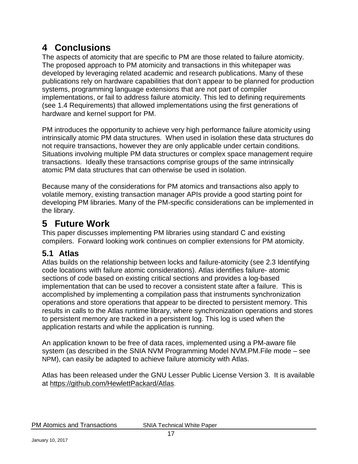# <span id="page-16-0"></span>**4 Conclusions**

The aspects of atomicity that are specific to PM are those related to failure atomicity. The proposed approach to PM atomicity and transactions in this whitepaper was developed by leveraging related academic and research publications. Many of these publications rely on hardware capabilities that don't appear to be planned for production systems, programming language extensions that are not part of compiler implementations, or fail to address failure atomicity. This led to defining requirements (see [1.4](#page-6-0) [Requirements\)](#page-6-0) that allowed implementations using the first generations of hardware and kernel support for PM.

PM introduces the opportunity to achieve very high performance failure atomicity using intrinsically atomic PM data structures. When used in isolation these data structures do not require transactions, however they are only applicable under certain conditions. Situations involving multiple PM data structures or complex space management require transactions. Ideally these transactions comprise groups of the same intrinsically atomic PM data structures that can otherwise be used in isolation.

Because many of the considerations for PM atomics and transactions also apply to volatile memory, existing transaction manager APIs provide a good starting point for developing PM libraries. Many of the PM-specific considerations can be implemented in the library.

## <span id="page-16-1"></span>**5 Future Work**

This paper discusses implementing PM libraries using standard C and existing compilers. Forward looking work continues on complier extensions for PM atomicity.

### <span id="page-16-2"></span>**5.1 Atlas**

Atlas builds on the relationship between locks and failure-atomicity (see [2.3](#page-10-1) [Identifying](#page-10-0)  [code locations with failure atomic considerations\)](#page-10-0). Atlas identifies failure- atomic sections of code based on existing critical sections and provides a log-based implementation that can be used to recover a consistent state after a failure. This is accomplished by implementing a compilation pass that instruments synchronization operations and store operations that appear to be directed to persistent memory. This results in calls to the Atlas runtime library, where synchronization operations and stores to persistent memory are tracked in a persistent log. This log is used when the application restarts and while the application is running.

An application known to be free of data races, implemented using a PM-aware file system (as described in the SNIA NVM Programming Model NVM.PM.File mode – see [NPM\)](#page-18-1), can easily be adapted to achieve failure atomicity with Atlas.

Atlas has been released under the GNU Lesser Public License Version 3. It is available at [https://github.com/HewlettPackard/Atlas.](https://github.com/HewlettPackard/Atlas)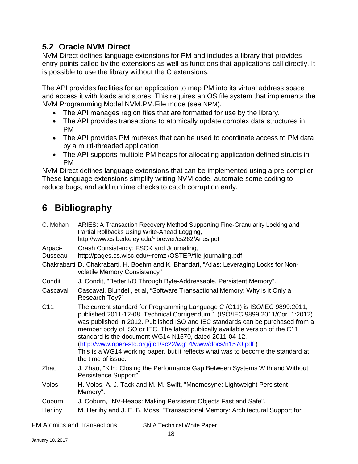#### <span id="page-17-0"></span>**5.2 Oracle NVM Direct**

NVM Direct defines language extensions for PM and includes a library that provides entry points called by the extensions as well as functions that applications call directly. It is possible to use the library without the C extensions.

The API provides facilities for an application to map PM into its virtual address space and access it with loads and stores. This requires an OS file system that implements the NVM Programming Model NVM.PM.File mode (see [NPM\)](#page-18-1).

- The API manages region files that are formatted for use by the library.
- The API provides transactions to atomically update complex data structures in PM
- The API provides PM mutexes that can be used to coordinate access to PM data by a multi-threaded application
- The API supports multiple PM heaps for allocating application defined structs in PM

NVM Direct defines language extensions that can be implemented using a pre-compiler. These language extensions simplify writing NVM code, automate some coding to reduce bugs, and add runtime checks to catch corruption early.

# <span id="page-17-1"></span>**6 Bibliography**

<span id="page-17-10"></span><span id="page-17-9"></span><span id="page-17-8"></span><span id="page-17-7"></span><span id="page-17-6"></span><span id="page-17-5"></span><span id="page-17-4"></span><span id="page-17-3"></span><span id="page-17-2"></span>

| C. Mohan           | ARIES: A Transaction Recovery Method Supporting Fine-Granularity Locking and<br>Partial Rollbacks Using Write-Ahead Logging,<br>http://www.cs.berkeley.edu/~brewer/cs262/Aries.pdf                                                                                                                                                                                                                                                                                                                                                                                 |
|--------------------|--------------------------------------------------------------------------------------------------------------------------------------------------------------------------------------------------------------------------------------------------------------------------------------------------------------------------------------------------------------------------------------------------------------------------------------------------------------------------------------------------------------------------------------------------------------------|
| Arpaci-<br>Dusseau | Crash Consistency: FSCK and Journaling,<br>http://pages.cs.wisc.edu/~remzi/OSTEP/file-journaling.pdf                                                                                                                                                                                                                                                                                                                                                                                                                                                               |
|                    | Chakrabarti D. Chakrabarti, H. Boehm and K. Bhandari, "Atlas: Leveraging Locks for Non-<br>volatile Memory Consistency"                                                                                                                                                                                                                                                                                                                                                                                                                                            |
| Condit             | J. Condit, "Better I/O Through Byte-Addressable, Persistent Memory".                                                                                                                                                                                                                                                                                                                                                                                                                                                                                               |
| Cascaval           | Cascaval, Blundell, et al, "Software Transactional Memory: Why is it Only a<br>Research Toy?"                                                                                                                                                                                                                                                                                                                                                                                                                                                                      |
| C <sub>11</sub>    | The current standard for Programming Language C (C11) is ISO/IEC 9899:2011,<br>published 2011-12-08. Technical Corrigendum 1 (ISO/IEC 9899:2011/Cor. 1:2012)<br>was published in 2012. Published ISO and IEC standards can be purchased from a<br>member body of ISO or IEC. The latest publically available version of the C11<br>standard is the document WG14 N1570, dated 2011-04-12.<br>(http://www.open-std.org/jtc1/sc22/wg14/www/docs/n1570.pdf)<br>This is a WG14 working paper, but it reflects what was to become the standard at<br>the time of issue. |
| Zhao               | J. Zhao, "Kiln: Closing the Performance Gap Between Systems With and Without<br>Persistence Support"                                                                                                                                                                                                                                                                                                                                                                                                                                                               |
| Volos              | H. Volos, A. J. Tack and M. M. Swift, "Mnemosyne: Lightweight Persistent<br>Memory".                                                                                                                                                                                                                                                                                                                                                                                                                                                                               |
| Coburn             | J. Coburn, "NV-Heaps: Making Persistent Objects Fast and Safe".                                                                                                                                                                                                                                                                                                                                                                                                                                                                                                    |
| Herlihy            | M. Herlihy and J. E. B. Moss, "Transactional Memory: Architectural Support for                                                                                                                                                                                                                                                                                                                                                                                                                                                                                     |